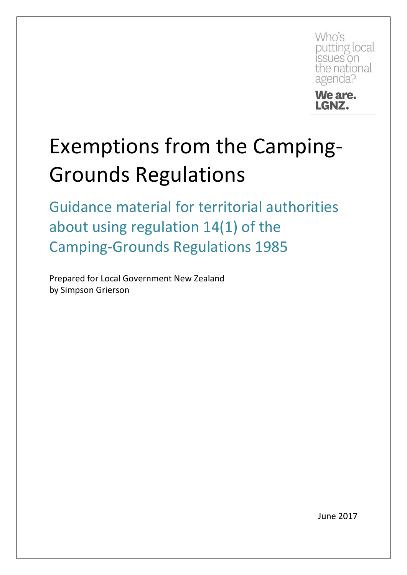Who's putting local issues on the national agenda?



## Exemptions from the Camping-Grounds Regulations

Guidance material for territorial authorities about using regulation 14(1) of the Camping-Grounds Regulations 1985

Prepared for Local Government New Zealand by Simpson Grierson

June 2017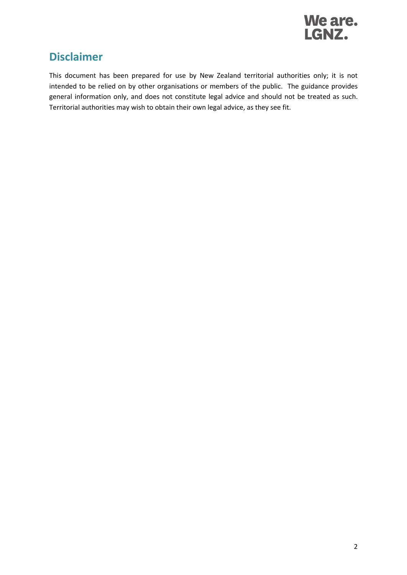

### **Disclaimer**

This document has been prepared for use by New Zealand territorial authorities only; it is not intended to be relied on by other organisations or members of the public. The guidance provides general information only, and does not constitute legal advice and should not be treated as such. Territorial authorities may wish to obtain their own legal advice, as they see fit.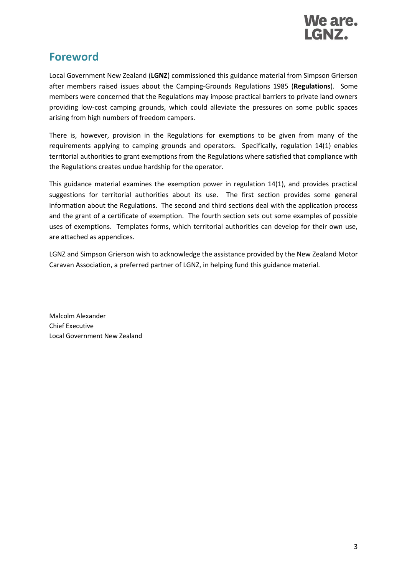

## **Foreword**

Local Government New Zealand (**LGNZ**) commissioned this guidance material from Simpson Grierson after members raised issues about the Camping-Grounds Regulations 1985 (**Regulations**). Some members were concerned that the Regulations may impose practical barriers to private land owners providing low-cost camping grounds, which could alleviate the pressures on some public spaces arising from high numbers of freedom campers.

There is, however, provision in the Regulations for exemptions to be given from many of the requirements applying to camping grounds and operators. Specifically, regulation 14(1) enables territorial authorities to grant exemptions from the Regulations where satisfied that compliance with the Regulations creates undue hardship for the operator.

This guidance material examines the exemption power in regulation 14(1), and provides practical suggestions for territorial authorities about its use. The first section provides some general information about the Regulations. The second and third sections deal with the application process and the grant of a certificate of exemption. The fourth section sets out some examples of possible uses of exemptions. Templates forms, which territorial authorities can develop for their own use, are attached as appendices.

LGNZ and Simpson Grierson wish to acknowledge the assistance provided by the New Zealand Motor Caravan Association, a preferred partner of LGNZ, in helping fund this guidance material.

Malcolm Alexander Chief Executive Local Government New Zealand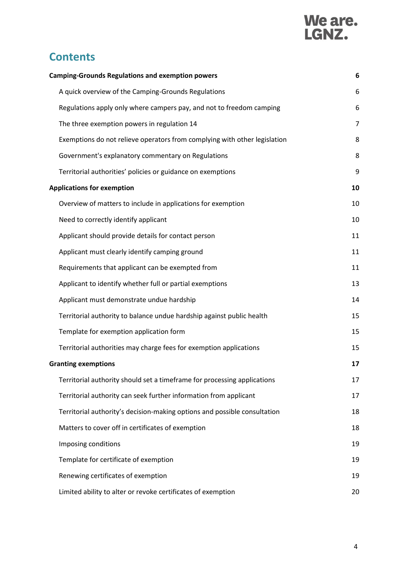# We are.<br>LGNZ.

## **Contents**

| <b>Camping-Grounds Regulations and exemption powers</b>                   | 6  |
|---------------------------------------------------------------------------|----|
| A quick overview of the Camping-Grounds Regulations                       | 6  |
| Regulations apply only where campers pay, and not to freedom camping      | 6  |
| The three exemption powers in regulation 14                               | 7  |
| Exemptions do not relieve operators from complying with other legislation | 8  |
| Government's explanatory commentary on Regulations                        | 8  |
| Territorial authorities' policies or guidance on exemptions               | 9  |
| <b>Applications for exemption</b>                                         | 10 |
| Overview of matters to include in applications for exemption              | 10 |
| Need to correctly identify applicant                                      | 10 |
| Applicant should provide details for contact person                       | 11 |
| Applicant must clearly identify camping ground                            | 11 |
| Requirements that applicant can be exempted from                          | 11 |
| Applicant to identify whether full or partial exemptions                  | 13 |
| Applicant must demonstrate undue hardship                                 | 14 |
| Territorial authority to balance undue hardship against public health     | 15 |
| Template for exemption application form                                   | 15 |
| Territorial authorities may charge fees for exemption applications        | 15 |
| <b>Granting exemptions</b>                                                | 17 |
| Territorial authority should set a timeframe for processing applications  | 17 |
| Territorial authority can seek further information from applicant         | 17 |
| Territorial authority's decision-making options and possible consultation | 18 |
| Matters to cover off in certificates of exemption                         | 18 |
| Imposing conditions                                                       | 19 |
| Template for certificate of exemption                                     | 19 |
| Renewing certificates of exemption                                        | 19 |
| Limited ability to alter or revoke certificates of exemption              | 20 |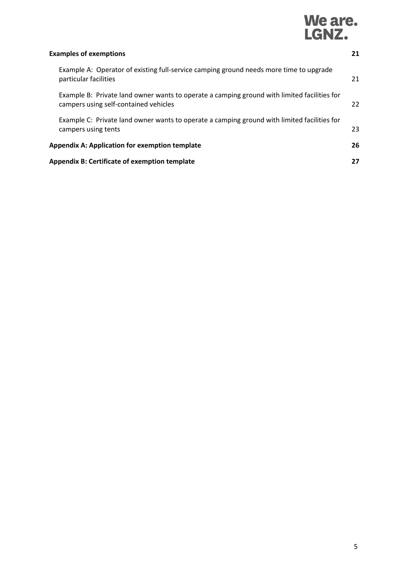# We are.<br>LGNZ.

| <b>Examples of exemptions</b>                                                                                                        |    |
|--------------------------------------------------------------------------------------------------------------------------------------|----|
| Example A: Operator of existing full-service camping ground needs more time to upgrade<br>particular facilities                      | 21 |
| Example B: Private land owner wants to operate a camping ground with limited facilities for<br>campers using self-contained vehicles | 22 |
| Example C: Private land owner wants to operate a camping ground with limited facilities for<br>campers using tents                   | 23 |
| <b>Appendix A: Application for exemption template</b>                                                                                | 26 |
| <b>Appendix B: Certificate of exemption template</b>                                                                                 | 27 |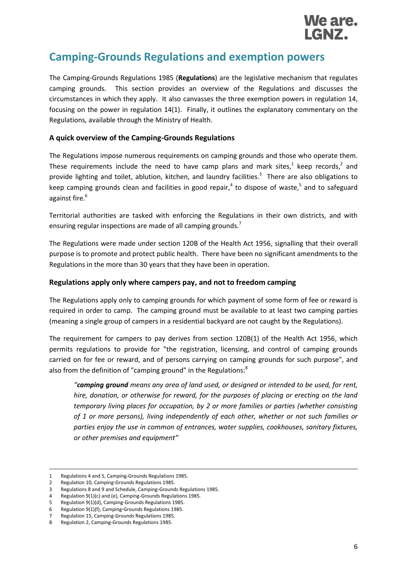

### <span id="page-5-0"></span>**Camping-Grounds Regulations and exemption powers**

The Camping-Grounds Regulations 1985 (**Regulations**) are the legislative mechanism that regulates camping grounds. This section provides an overview of the Regulations and discusses the circumstances in which they apply. It also canvasses the three exemption powers in regulation 14, focusing on the power in regulation 14(1). Finally, it outlines the explanatory commentary on the Regulations, available through the Ministry of Health.

#### <span id="page-5-1"></span>**A quick overview of the Camping-Grounds Regulations**

The Regulations impose numerous requirements on camping grounds and those who operate them. These requirements include the need to have camp plans and mark sites,<sup>1</sup> keep records,<sup>2</sup> and provide lighting and toilet, ablution, kitchen, and laundry facilities.<sup>3</sup> There are also obligations to keep camping grounds clean and facilities in good repair,<sup>4</sup> to dispose of waste,<sup>5</sup> and to safeguard against fire.<sup>6</sup>

Territorial authorities are tasked with enforcing the Regulations in their own districts, and with ensuring regular inspections are made of all camping grounds.<sup>7</sup>

The Regulations were made under section 120B of the Health Act 1956, signalling that their overall purpose is to promote and protect public health. There have been no significant amendments to the Regulations in the more than 30 years that they have been in operation.

#### <span id="page-5-2"></span>**Regulations apply only where campers pay, and not to freedom camping**

The Regulations apply only to camping grounds for which payment of some form of fee or reward is required in order to camp. The camping ground must be available to at least two camping parties (meaning a single group of campers in a residential backyard are not caught by the Regulations).

The requirement for campers to pay derives from section 120B(1) of the Health Act 1956, which permits regulations to provide for "the registration, licensing, and control of camping grounds carried on for fee or reward, and of persons carrying on camping grounds for such purpose", and also from the definition of "camping ground" in the Regulations:<sup>8</sup>

*"camping ground means any area of land used, or designed or intended to be used, for rent, hire, donation, or otherwise for reward, for the purposes of placing or erecting on the land temporary living places for occupation, by 2 or more families or parties (whether consisting of 1 or more persons), living independently of each other, whether or not such families or parties enjoy the use in common of entrances, water supplies, cookhouses, sanitary fixtures, or other premises and equipment"*

1

<sup>1</sup> Regulations 4 and 5, Camping-Grounds Regulations 1985.

<sup>2</sup> Regulation 10, Camping-Grounds Regulations 1985.

<sup>3</sup> Regulations 8 and 9 and Schedule, Camping-Grounds Regulations 1985.

<sup>4</sup> Regulation 9(1)(c) and (e), Camping-Grounds Regulations 1985.

<sup>5</sup> Regulation 9(1)(d), Camping-Grounds Regulations 1985.

<sup>6</sup> Regulation 9(1)(f), Camping-Grounds Regulations 1985. 7 Regulation 15, Camping-Grounds Regulations 1985.

<sup>8</sup> Regulation 2, Camping-Grounds Regulations 1985.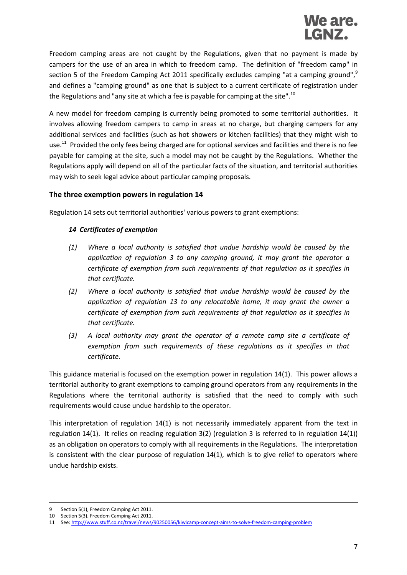

Freedom camping areas are not caught by the Regulations, given that no payment is made by campers for the use of an area in which to freedom camp. The definition of "freedom camp" in section 5 of the Freedom Camping Act 2011 specifically excludes camping "at a camping ground",<sup>9</sup> and defines a "camping ground" as one that is subject to a current certificate of registration under the Regulations and "any site at which a fee is payable for camping at the site".<sup>10</sup>

A new model for freedom camping is currently being promoted to some territorial authorities. It involves allowing freedom campers to camp in areas at no charge, but charging campers for any additional services and facilities (such as hot showers or kitchen facilities) that they might wish to use.<sup>11</sup> Provided the only fees being charged are for optional services and facilities and there is no fee payable for camping at the site, such a model may not be caught by the Regulations. Whether the Regulations apply will depend on all of the particular facts of the situation, and territorial authorities may wish to seek legal advice about particular camping proposals.

#### <span id="page-6-0"></span>**The three exemption powers in regulation 14**

Regulation 14 sets out territorial authorities' various powers to grant exemptions:

#### *14 Certificates of exemption*

- *(1) Where a local authority is satisfied that undue hardship would be caused by the application of [regulation 3](http://www.legislation.govt.nz/regulation/public/1985/0261/latest/link.aspx?search=ad_regulation__camping+grounds____25_an%40bn%40rc%40dn%40apub%40aloc%40apri%40apro%40aimp%40bgov%40bloc%40bpri%40bmem%40rpub%40rimp_rc%40ainf%40anif%40bcur%40rinf%40rnif_a_aw_se&p=1&id=DLM103355#DLM103355) to any camping ground, it may grant the operator a certificate of exemption from such requirements of that regulation as it specifies in that certificate.*
- *(2) Where a local authority is satisfied that undue hardship would be caused by the application of [regulation 13](http://www.legislation.govt.nz/regulation/public/1985/0261/latest/link.aspx?search=ad_regulation__camping+grounds____25_an%40bn%40rc%40dn%40apub%40aloc%40apri%40apro%40aimp%40bgov%40bloc%40bpri%40bmem%40rpub%40rimp_rc%40ainf%40anif%40bcur%40rinf%40rnif_a_aw_se&p=1&id=DLM103369#DLM103369) to any relocatable home, it may grant the owner a certificate of exemption from such requirements of that regulation as it specifies in that certificate.*
- *(3) A local authority may grant the operator of a remote camp site a certificate of exemption from such requirements of these regulations as it specifies in that certificate.*

This guidance material is focused on the exemption power in regulation 14(1). This power allows a territorial authority to grant exemptions to camping ground operators from any requirements in the Regulations where the territorial authority is satisfied that the need to comply with such requirements would cause undue hardship to the operator.

This interpretation of regulation 14(1) is not necessarily immediately apparent from the text in regulation 14(1). It relies on reading regulation 3(2) (regulation 3 is referred to in regulation 14(1)) as an obligation on operators to comply with all requirements in the Regulations. The interpretation is consistent with the clear purpose of regulation 14(1), which is to give relief to operators where undue hardship exists.

-

<sup>9</sup> Section 5(1), Freedom Camping Act 2011.

<sup>10</sup> Section 5(3), Freedom Camping Act 2011.

<sup>11</sup> See[: http://www.stuff.co.nz/travel/news/90250056/kiwicamp-concept-aims-to-solve-freedom-camping-problem](http://www.stuff.co.nz/travel/news/90250056/kiwicamp-concept-aims-to-solve-freedom-camping-problem)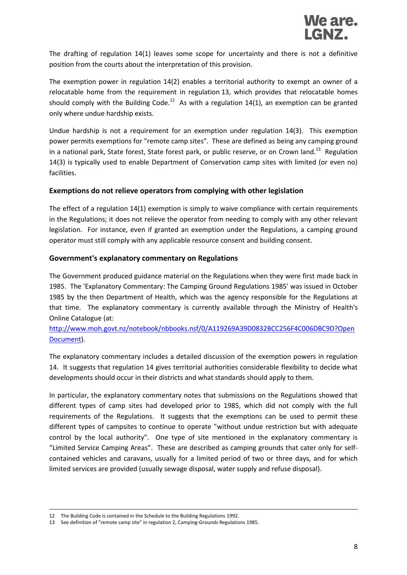The drafting of regulation 14(1) leaves some scope for uncertainty and there is not a definitive position from the courts about the interpretation of this provision.

The exemption power in regulation 14(2) enables a territorial authority to exempt an owner of a relocatable home from the requirement in regulation 13, which provides that relocatable homes should comply with the Building Code.<sup>12</sup> As with a regulation 14(1), an exemption can be granted only where undue hardship exists.

Undue hardship is not a requirement for an exemption under regulation 14(3). This exemption power permits exemptions for "remote camp sites". These are defined as being any camping ground in a national park, State forest, State forest park, or public reserve, or on Crown land.<sup>13</sup> Regulation 14(3) is typically used to enable Department of Conservation camp sites with limited (or even no) facilities.

#### <span id="page-7-0"></span>**Exemptions do not relieve operators from complying with other legislation**

The effect of a regulation 14(1) exemption is simply to waive compliance with certain requirements in the Regulations; it does not relieve the operator from needing to comply with any other relevant legislation. For instance, even if granted an exemption under the Regulations, a camping ground operator must still comply with any applicable resource consent and building consent.

#### <span id="page-7-1"></span>**Government's explanatory commentary on Regulations**

The Government produced guidance material on the Regulations when they were first made back in 1985. The 'Explanatory Commentary: The Camping Ground Regulations 1985' was issued in October 1985 by the then Department of Health, which was the agency responsible for the Regulations at that time. The explanatory commentary is currently available through the Ministry of Health's Online Catalogue (at:

#### [http://www.moh.govt.nz/notebook/nbbooks.nsf/0/A119269A39D0832BCC256F4C006DBC9D?Open](http://www.moh.govt.nz/notebook/nbbooks.nsf/0/A119269A39D0832BCC256F4C006DBC9D?OpenDocument) [Document\)](http://www.moh.govt.nz/notebook/nbbooks.nsf/0/A119269A39D0832BCC256F4C006DBC9D?OpenDocument).

The explanatory commentary includes a detailed discussion of the exemption powers in regulation 14. It suggests that regulation 14 gives territorial authorities considerable flexibility to decide what developments should occur in their districts and what standards should apply to them.

In particular, the explanatory commentary notes that submissions on the Regulations showed that different types of camp sites had developed prior to 1985, which did not comply with the full requirements of the Regulations. It suggests that the exemptions can be used to permit these different types of campsites to continue to operate "without undue restriction but with adequate control by the local authority". One type of site mentioned in the explanatory commentary is "Limited Service Camping Areas". These are described as camping grounds that cater only for selfcontained vehicles and caravans, usually for a limited period of two or three days, and for which limited services are provided (usually sewage disposal, water supply and refuse disposal).

-

<sup>12</sup> The Building Code is contained in the Schedule to the Building Regulations 1992.

<sup>13</sup> See definition of "remote camp site" in regulation 2, Camping-Grounds Regulations 1985.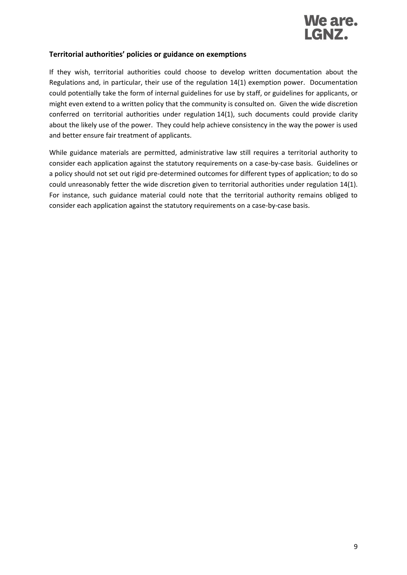

#### <span id="page-8-0"></span>**Territorial authorities' policies or guidance on exemptions**

If they wish, territorial authorities could choose to develop written documentation about the Regulations and, in particular, their use of the regulation 14(1) exemption power. Documentation could potentially take the form of internal guidelines for use by staff, or guidelines for applicants, or might even extend to a written policy that the community is consulted on. Given the wide discretion conferred on territorial authorities under regulation 14(1), such documents could provide clarity about the likely use of the power. They could help achieve consistency in the way the power is used and better ensure fair treatment of applicants.

While guidance materials are permitted, administrative law still requires a territorial authority to consider each application against the statutory requirements on a case-by-case basis. Guidelines or a policy should not set out rigid pre-determined outcomes for different types of application; to do so could unreasonably fetter the wide discretion given to territorial authorities under regulation 14(1). For instance, such guidance material could note that the territorial authority remains obliged to consider each application against the statutory requirements on a case-by-case basis.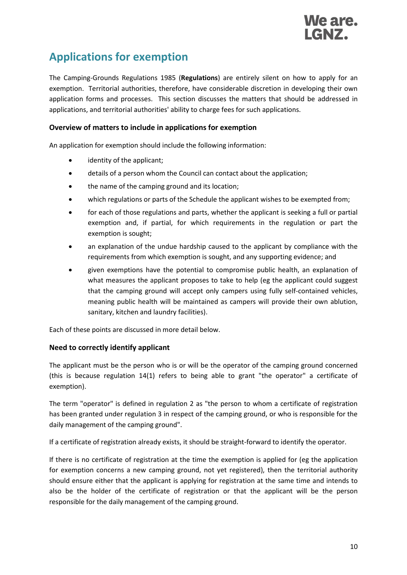

## <span id="page-9-0"></span>**Applications for exemption**

The Camping-Grounds Regulations 1985 (**Regulations**) are entirely silent on how to apply for an exemption. Territorial authorities, therefore, have considerable discretion in developing their own application forms and processes. This section discusses the matters that should be addressed in applications, and territorial authorities' ability to charge fees for such applications.

#### <span id="page-9-1"></span>**Overview of matters to include in applications for exemption**

An application for exemption should include the following information:

- identity of the applicant;
- details of a person whom the Council can contact about the application;
- the name of the camping ground and its location;
- which regulations or parts of the Schedule the applicant wishes to be exempted from;
- for each of those regulations and parts, whether the applicant is seeking a full or partial exemption and, if partial, for which requirements in the regulation or part the exemption is sought;
- an explanation of the undue hardship caused to the applicant by compliance with the requirements from which exemption is sought, and any supporting evidence; and
- given exemptions have the potential to compromise public health, an explanation of what measures the applicant proposes to take to help (eg the applicant could suggest that the camping ground will accept only campers using fully self-contained vehicles, meaning public health will be maintained as campers will provide their own ablution, sanitary, kitchen and laundry facilities).

Each of these points are discussed in more detail below.

#### <span id="page-9-2"></span>**Need to correctly identify applicant**

The applicant must be the person who is or will be the operator of the camping ground concerned (this is because regulation 14(1) refers to being able to grant "the operator" a certificate of exemption).

The term "operator" is defined in regulation 2 as "the person to whom a certificate of registration has been granted under regulation 3 in respect of the camping ground, or who is responsible for the daily management of the camping ground".

If a certificate of registration already exists, it should be straight-forward to identify the operator.

If there is no certificate of registration at the time the exemption is applied for (eg the application for exemption concerns a new camping ground, not yet registered), then the territorial authority should ensure either that the applicant is applying for registration at the same time and intends to also be the holder of the certificate of registration or that the applicant will be the person responsible for the daily management of the camping ground.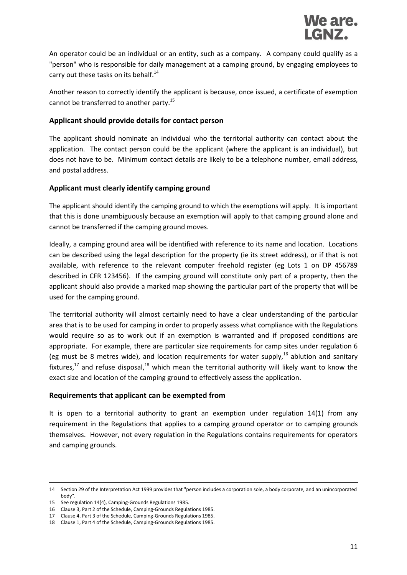An operator could be an individual or an entity, such as a company. A company could qualify as a "person" who is responsible for daily management at a camping ground, by engaging employees to carry out these tasks on its behalf.<sup>14</sup>

Another reason to correctly identify the applicant is because, once issued, a certificate of exemption cannot be transferred to another party.<sup>15</sup>

#### <span id="page-10-0"></span>**Applicant should provide details for contact person**

The applicant should nominate an individual who the territorial authority can contact about the application. The contact person could be the applicant (where the applicant is an individual), but does not have to be. Minimum contact details are likely to be a telephone number, email address, and postal address.

#### <span id="page-10-1"></span>**Applicant must clearly identify camping ground**

The applicant should identify the camping ground to which the exemptions will apply. It is important that this is done unambiguously because an exemption will apply to that camping ground alone and cannot be transferred if the camping ground moves.

Ideally, a camping ground area will be identified with reference to its name and location. Locations can be described using the legal description for the property (ie its street address), or if that is not available, with reference to the relevant computer freehold register (eg Lots 1 on DP 456789 described in CFR 123456). If the camping ground will constitute only part of a property, then the applicant should also provide a marked map showing the particular part of the property that will be used for the camping ground.

The territorial authority will almost certainly need to have a clear understanding of the particular area that is to be used for camping in order to properly assess what compliance with the Regulations would require so as to work out if an exemption is warranted and if proposed conditions are appropriate. For example, there are particular size requirements for camp sites under regulation 6 (eg must be 8 metres wide), and location requirements for water supply.<sup>16</sup> ablution and sanitary fixtures, $17$  and refuse disposal, $18$  which mean the territorial authority will likely want to know the exact size and location of the camping ground to effectively assess the application.

#### <span id="page-10-2"></span>**Requirements that applicant can be exempted from**

It is open to a territorial authority to grant an exemption under regulation 14(1) from any requirement in the Regulations that applies to a camping ground operator or to camping grounds themselves. However, not every regulation in the Regulations contains requirements for operators and camping grounds.

-

<sup>14</sup> Section 29 of the Interpretation Act 1999 provides that "person includes a corporation sole, a body corporate, and an unincorporated body".

<sup>15</sup> See regulation 14(4), Camping-Grounds Regulations 1985.

<sup>16</sup> Clause 3, Part 2 of the Schedule, Camping-Grounds Regulations 1985.

<sup>17</sup> Clause 4, Part 3 of the Schedule, Camping-Grounds Regulations 1985.

<sup>18</sup> Clause 1, Part 4 of the Schedule, Camping-Grounds Regulations 1985.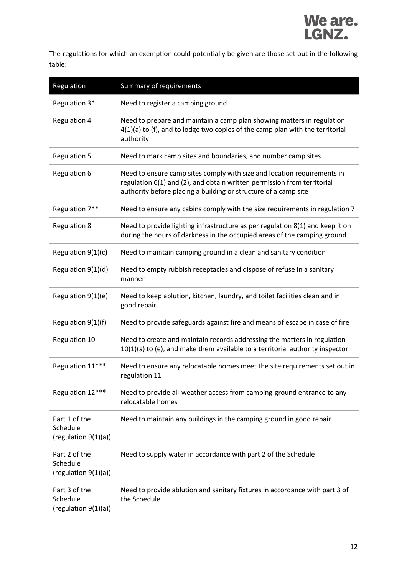

The regulations for which an exemption could potentially be given are those set out in the following table:

| Regulation                                        | Summary of requirements                                                                                                                                                                                               |
|---------------------------------------------------|-----------------------------------------------------------------------------------------------------------------------------------------------------------------------------------------------------------------------|
| Regulation 3*                                     | Need to register a camping ground                                                                                                                                                                                     |
| <b>Regulation 4</b>                               | Need to prepare and maintain a camp plan showing matters in regulation<br>4(1)(a) to (f), and to lodge two copies of the camp plan with the territorial<br>authority                                                  |
| <b>Regulation 5</b>                               | Need to mark camp sites and boundaries, and number camp sites                                                                                                                                                         |
| <b>Regulation 6</b>                               | Need to ensure camp sites comply with size and location requirements in<br>regulation 6(1) and (2), and obtain written permission from territorial<br>authority before placing a building or structure of a camp site |
| Regulation 7**                                    | Need to ensure any cabins comply with the size requirements in regulation 7                                                                                                                                           |
| <b>Regulation 8</b>                               | Need to provide lighting infrastructure as per regulation 8(1) and keep it on<br>during the hours of darkness in the occupied areas of the camping ground                                                             |
| Regulation 9(1)(c)                                | Need to maintain camping ground in a clean and sanitary condition                                                                                                                                                     |
| Regulation 9(1)(d)                                | Need to empty rubbish receptacles and dispose of refuse in a sanitary<br>manner                                                                                                                                       |
| Regulation 9(1)(e)                                | Need to keep ablution, kitchen, laundry, and toilet facilities clean and in<br>good repair                                                                                                                            |
| Regulation 9(1)(f)                                | Need to provide safeguards against fire and means of escape in case of fire                                                                                                                                           |
| Regulation 10                                     | Need to create and maintain records addressing the matters in regulation<br>10(1)(a) to (e), and make them available to a territorial authority inspector                                                             |
| Regulation 11***                                  | Need to ensure any relocatable homes meet the site requirements set out in<br>regulation 11                                                                                                                           |
| Regulation 12***                                  | Need to provide all-weather access from camping-ground entrance to any<br>relocatable homes                                                                                                                           |
| Part 1 of the<br>Schedule<br>(regularion 9(1)(a)) | Need to maintain any buildings in the camping ground in good repair                                                                                                                                                   |
| Part 2 of the<br>Schedule<br>(regulation 9(1)(a)) | Need to supply water in accordance with part 2 of the Schedule                                                                                                                                                        |
| Part 3 of the<br>Schedule<br>(regulation 9(1)(a)) | Need to provide ablution and sanitary fixtures in accordance with part 3 of<br>the Schedule                                                                                                                           |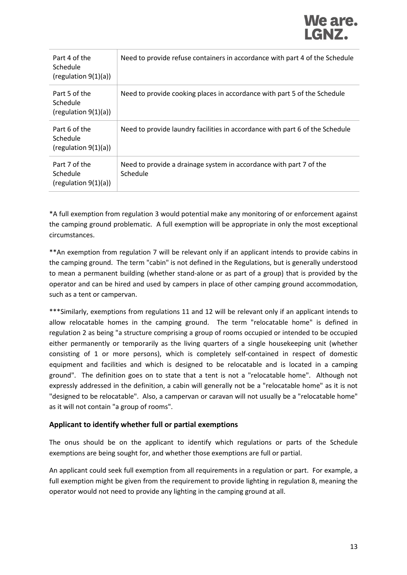| Part 4 of the<br>Schedule<br>$^{\rm (regulation 9(1)(a))}$ | Need to provide refuse containers in accordance with part 4 of the Schedule    |
|------------------------------------------------------------|--------------------------------------------------------------------------------|
| Part 5 of the<br>Schedule<br>(regulation $9(1)(a)$ )       | Need to provide cooking places in accordance with part 5 of the Schedule       |
| Part 6 of the<br>Schedule<br>$^{\rm (regulation 9(1)(a))}$ | Need to provide laundry facilities in accordance with part 6 of the Schedule   |
| Part 7 of the<br>Schedule<br>$^{\rm (regulation 9(1)(a))}$ | Need to provide a drainage system in accordance with part 7 of the<br>Schedule |

\*A full exemption from regulation 3 would potential make any monitoring of or enforcement against the camping ground problematic. A full exemption will be appropriate in only the most exceptional circumstances.

\*\*An exemption from regulation 7 will be relevant only if an applicant intends to provide cabins in the camping ground. The term "cabin" is not defined in the Regulations, but is generally understood to mean a permanent building (whether stand-alone or as part of a group) that is provided by the operator and can be hired and used by campers in place of other camping ground accommodation, such as a tent or campervan.

\*\*\*Similarly, exemptions from regulations 11 and 12 will be relevant only if an applicant intends to allow relocatable homes in the camping ground. The term "relocatable home" is defined in regulation 2 as being "a structure comprising a group of rooms occupied or intended to be occupied either permanently or temporarily as the living quarters of a single housekeeping unit (whether consisting of 1 or more persons), which is completely self-contained in respect of domestic equipment and facilities and which is designed to be relocatable and is located in a camping ground". The definition goes on to state that a tent is not a "relocatable home". Although not expressly addressed in the definition, a cabin will generally not be a "relocatable home" as it is not "designed to be relocatable". Also, a campervan or caravan will not usually be a "relocatable home" as it will not contain "a group of rooms".

#### <span id="page-12-0"></span>**Applicant to identify whether full or partial exemptions**

The onus should be on the applicant to identify which regulations or parts of the Schedule exemptions are being sought for, and whether those exemptions are full or partial.

An applicant could seek full exemption from all requirements in a regulation or part. For example, a full exemption might be given from the requirement to provide lighting in regulation 8, meaning the operator would not need to provide any lighting in the camping ground at all.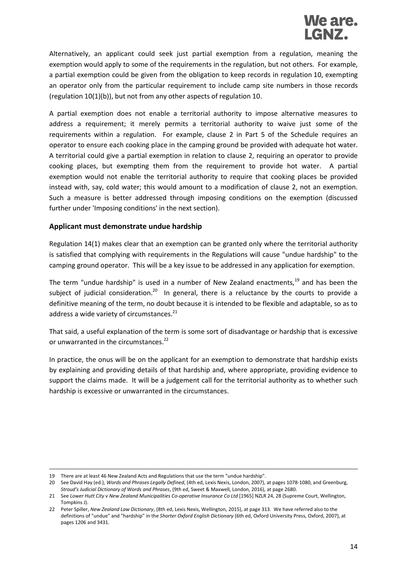

Alternatively, an applicant could seek just partial exemption from a regulation, meaning the exemption would apply to some of the requirements in the regulation, but not others. For example, a partial exemption could be given from the obligation to keep records in regulation 10, exempting an operator only from the particular requirement to include camp site numbers in those records (regulation 10(1)(b)), but not from any other aspects of regulation 10.

A partial exemption does not enable a territorial authority to impose alternative measures to address a requirement; it merely permits a territorial authority to waive just some of the requirements within a regulation. For example, clause 2 in Part 5 of the Schedule requires an operator to ensure each cooking place in the camping ground be provided with adequate hot water. A territorial could give a partial exemption in relation to clause 2, requiring an operator to provide cooking places, but exempting them from the requirement to provide hot water. A partial exemption would not enable the territorial authority to require that cooking places be provided instead with, say, cold water; this would amount to a modification of clause 2, not an exemption. Such a measure is better addressed through imposing conditions on the exemption (discussed further under 'Imposing conditions' in the next section).

#### <span id="page-13-0"></span>**Applicant must demonstrate undue hardship**

Regulation 14(1) makes clear that an exemption can be granted only where the territorial authority is satisfied that complying with requirements in the Regulations will cause "undue hardship" to the camping ground operator. This will be a key issue to be addressed in any application for exemption.

The term "undue hardship" is used in a number of New Zealand enactments, $19$  and has been the subject of judicial consideration.<sup>20</sup> In general, there is a reluctance by the courts to provide a definitive meaning of the term, no doubt because it is intended to be flexible and adaptable, so as to address a wide variety of circumstances. $^{21}$ 

That said, a useful explanation of the term is some sort of disadvantage or hardship that is excessive or unwarranted in the circumstances.<sup>22</sup>

In practice, the onus will be on the applicant for an exemption to demonstrate that hardship exists by explaining and providing details of that hardship and, where appropriate, providing evidence to support the claims made. It will be a judgement call for the territorial authority as to whether such hardship is excessive or unwarranted in the circumstances.

1

<sup>19</sup> There are at least 46 New Zealand Acts and Regulations that use the term "undue hardship".

<sup>20</sup> See David Hay (ed.), *Words and Phrases Legally Defined*, (4th ed, Lexis Nexis, London, 2007), at pages 1078-1080, and Greenburg, *Stroud's Judicial Dictionary of Words and Phrases*, (9th ed, Sweet & Maxwell, London, 2016), at page 2680.

<sup>21</sup> See *Lower Hutt City v New Zealand Municipalities Co-operative Insurance Co Ltd* [1965] NZLR 24, 28 (Supreme Court, Wellington, Tompkins J).

<sup>22</sup> Peter Spiller, *New Zealand Law Dictionary*, (8th ed, Lexis Nexis, Wellington, 2015), at page 313. We have referred also to the definitions of "undue" and "hardship" in the *Shorter Oxford English Dictionary* (6th ed, Oxford University Press, Oxford, 2007), at pages 1206 and 3431.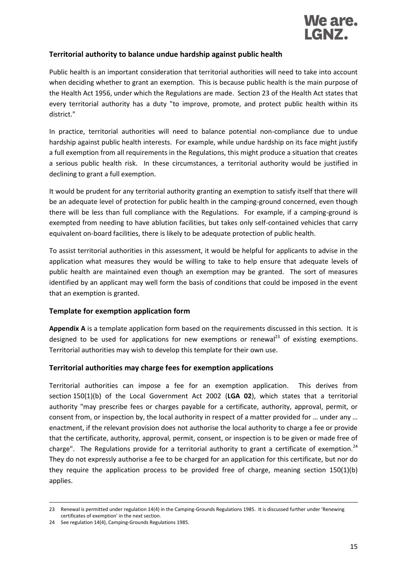

#### <span id="page-14-0"></span>**Territorial authority to balance undue hardship against public health**

Public health is an important consideration that territorial authorities will need to take into account when deciding whether to grant an exemption. This is because public health is the main purpose of the Health Act 1956, under which the Regulations are made. Section 23 of the Health Act states that every territorial authority has a duty "to improve, promote, and protect public health within its district."

In practice, territorial authorities will need to balance potential non-compliance due to undue hardship against public health interests. For example, while undue hardship on its face might justify a full exemption from all requirements in the Regulations, this might produce a situation that creates a serious public health risk. In these circumstances, a territorial authority would be justified in declining to grant a full exemption.

It would be prudent for any territorial authority granting an exemption to satisfy itself that there will be an adequate level of protection for public health in the camping-ground concerned, even though there will be less than full compliance with the Regulations. For example, if a camping-ground is exempted from needing to have ablution facilities, but takes only self-contained vehicles that carry equivalent on-board facilities, there is likely to be adequate protection of public health.

To assist territorial authorities in this assessment, it would be helpful for applicants to advise in the application what measures they would be willing to take to help ensure that adequate levels of public health are maintained even though an exemption may be granted. The sort of measures identified by an applicant may well form the basis of conditions that could be imposed in the event that an exemption is granted.

#### <span id="page-14-1"></span>**Template for exemption application form**

**Appendix A** is a template application form based on the requirements discussed in this section. It is designed to be used for applications for new exemptions or renewal<sup>23</sup> of existing exemptions. Territorial authorities may wish to develop this template for their own use.

#### <span id="page-14-2"></span>**Territorial authorities may charge fees for exemption applications**

Territorial authorities can impose a fee for an exemption application. This derives from section 150(1)(b) of the Local Government Act 2002 (**LGA 02**), which states that a territorial authority "may prescribe fees or charges payable for a certificate, authority, approval, permit, or consent from, or inspection by, the local authority in respect of a matter provided for … under any … enactment, if the relevant provision does not authorise the local authority to charge a fee or provide that the certificate, authority, approval, permit, consent, or inspection is to be given or made free of charge". The Regulations provide for a territorial authority to grant a certificate of exemption.<sup>24</sup> They do not expressly authorise a fee to be charged for an application for this certificate, but nor do they require the application process to be provided free of charge, meaning section 150(1)(b) applies.

-

<sup>23</sup> Renewal is permitted under regulation 14(4) in the Camping-Grounds Regulations 1985. It is discussed further under 'Renewing certificates of exemption' in the next section.

<sup>24</sup> See regulation 14(4), Camping-Grounds Regulations 1985.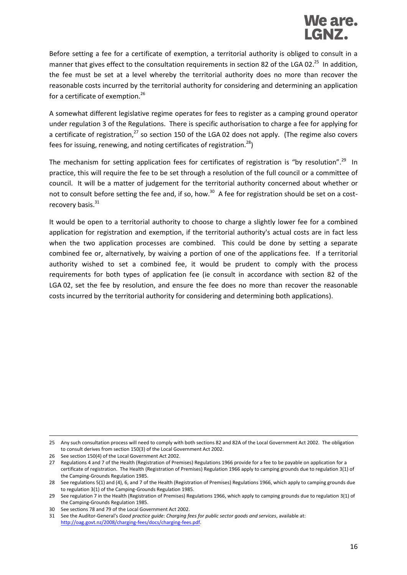## We are. LGNZ.

Before setting a fee for a certificate of exemption, a territorial authority is obliged to consult in a manner that gives effect to the consultation requirements in section 82 of the LGA 02.<sup>25</sup> In addition, the fee must be set at a level whereby the territorial authority does no more than recover the reasonable costs incurred by the territorial authority for considering and determining an application for a certificate of exemption.<sup>26</sup>

A somewhat different legislative regime operates for fees to register as a camping ground operator under regulation 3 of the Regulations. There is specific authorisation to charge a fee for applying for a certificate of registration, $^{27}$  so section 150 of the LGA 02 does not apply. (The regime also covers fees for issuing, renewing, and noting certificates of registration.<sup>28</sup>)

The mechanism for setting application fees for certificates of registration is "by resolution".<sup>29</sup> In practice, this will require the fee to be set through a resolution of the full council or a committee of council. It will be a matter of judgement for the territorial authority concerned about whether or not to consult before setting the fee and, if so, how.<sup>30</sup> A fee for registration should be set on a costrecovery basis. $31$ 

It would be open to a territorial authority to choose to charge a slightly lower fee for a combined application for registration and exemption, if the territorial authority's actual costs are in fact less when the two application processes are combined. This could be done by setting a separate combined fee or, alternatively, by waiving a portion of one of the applications fee. If a territorial authority wished to set a combined fee, it would be prudent to comply with the process requirements for both types of application fee (ie consult in accordance with section 82 of the LGA 02, set the fee by resolution, and ensure the fee does no more than recover the reasonable costs incurred by the territorial authority for considering and determining both applications).

1

<sup>25</sup> Any such consultation process will need to comply with both sections 82 and 82A of the Local Government Act 2002. The obligation to consult derives from section 150(3) of the Local Government Act 2002.

<sup>26</sup> See section 150(4) of the Local Government Act 2002.

<sup>27</sup> Regulations 4 and 7 of the Health (Registration of Premises) Regulations 1966 provide for a fee to be payable on application for a certificate of registration. The Health (Registration of Premises) Regulation 1966 apply to camping grounds due to regulation 3(1) of the Camping-Grounds Regulation 1985.

<sup>28</sup> See regulations 5(1) and (4), 6, and 7 of the Health (Registration of Premises) Regulations 1966, which apply to camping grounds due to regulation 3(1) of the Camping-Grounds Regulation 1985.

<sup>29</sup> See regulation 7 in the Health (Registration of Premises) Regulations 1966, which apply to camping grounds due to regulation 3(1) of the Camping-Grounds Regulation 1985.

<sup>30</sup> See sections 78 and 79 of the Local Government Act 2002.

<sup>31</sup> See the Auditor-General's *Good practice guide: Charging fees for public sector goods and services*, available at: [http://oag.govt.nz/2008/charging-fees/docs/charging-fees.pdf.](http://oag.govt.nz/2008/charging-fees/docs/charging-fees.pdf)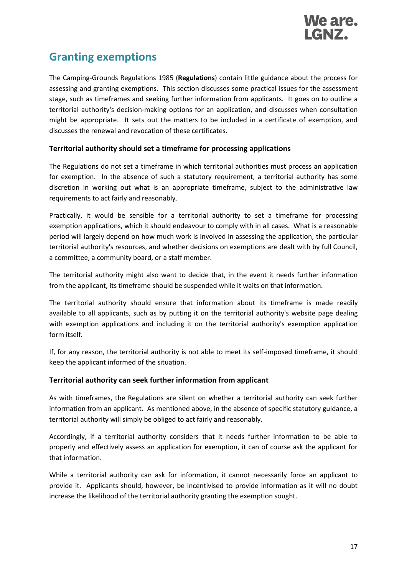

## <span id="page-16-0"></span>**Granting exemptions**

The Camping-Grounds Regulations 1985 (**Regulations**) contain little guidance about the process for assessing and granting exemptions. This section discusses some practical issues for the assessment stage, such as timeframes and seeking further information from applicants. It goes on to outline a territorial authority's decision-making options for an application, and discusses when consultation might be appropriate. It sets out the matters to be included in a certificate of exemption, and discusses the renewal and revocation of these certificates.

#### <span id="page-16-1"></span>**Territorial authority should set a timeframe for processing applications**

The Regulations do not set a timeframe in which territorial authorities must process an application for exemption. In the absence of such a statutory requirement, a territorial authority has some discretion in working out what is an appropriate timeframe, subject to the administrative law requirements to act fairly and reasonably.

Practically, it would be sensible for a territorial authority to set a timeframe for processing exemption applications, which it should endeavour to comply with in all cases. What is a reasonable period will largely depend on how much work is involved in assessing the application, the particular territorial authority's resources, and whether decisions on exemptions are dealt with by full Council, a committee, a community board, or a staff member.

The territorial authority might also want to decide that, in the event it needs further information from the applicant, its timeframe should be suspended while it waits on that information.

The territorial authority should ensure that information about its timeframe is made readily available to all applicants, such as by putting it on the territorial authority's website page dealing with exemption applications and including it on the territorial authority's exemption application form itself.

If, for any reason, the territorial authority is not able to meet its self-imposed timeframe, it should keep the applicant informed of the situation.

#### <span id="page-16-2"></span>**Territorial authority can seek further information from applicant**

As with timeframes, the Regulations are silent on whether a territorial authority can seek further information from an applicant. As mentioned above, in the absence of specific statutory guidance, a territorial authority will simply be obliged to act fairly and reasonably.

Accordingly, if a territorial authority considers that it needs further information to be able to properly and effectively assess an application for exemption, it can of course ask the applicant for that information.

While a territorial authority can ask for information, it cannot necessarily force an applicant to provide it. Applicants should, however, be incentivised to provide information as it will no doubt increase the likelihood of the territorial authority granting the exemption sought.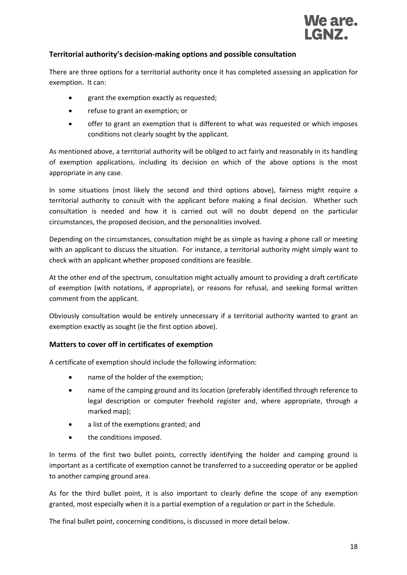

#### <span id="page-17-0"></span>**Territorial authority's decision-making options and possible consultation**

There are three options for a territorial authority once it has completed assessing an application for exemption. It can:

- grant the exemption exactly as requested;
- refuse to grant an exemption; or
- offer to grant an exemption that is different to what was requested or which imposes conditions not clearly sought by the applicant.

As mentioned above, a territorial authority will be obliged to act fairly and reasonably in its handling of exemption applications, including its decision on which of the above options is the most appropriate in any case.

In some situations (most likely the second and third options above), fairness might require a territorial authority to consult with the applicant before making a final decision. Whether such consultation is needed and how it is carried out will no doubt depend on the particular circumstances, the proposed decision, and the personalities involved.

Depending on the circumstances, consultation might be as simple as having a phone call or meeting with an applicant to discuss the situation. For instance, a territorial authority might simply want to check with an applicant whether proposed conditions are feasible.

At the other end of the spectrum, consultation might actually amount to providing a draft certificate of exemption (with notations, if appropriate), or reasons for refusal, and seeking formal written comment from the applicant.

Obviously consultation would be entirely unnecessary if a territorial authority wanted to grant an exemption exactly as sought (ie the first option above).

#### <span id="page-17-1"></span>**Matters to cover off in certificates of exemption**

A certificate of exemption should include the following information:

- name of the holder of the exemption;
- name of the camping ground and its location (preferably identified through reference to legal description or computer freehold register and, where appropriate, through a marked map);
- a list of the exemptions granted; and
- the conditions imposed.

In terms of the first two bullet points, correctly identifying the holder and camping ground is important as a certificate of exemption cannot be transferred to a succeeding operator or be applied to another camping ground area.

As for the third bullet point, it is also important to clearly define the scope of any exemption granted, most especially when it is a partial exemption of a regulation or part in the Schedule.

The final bullet point, concerning conditions, is discussed in more detail below.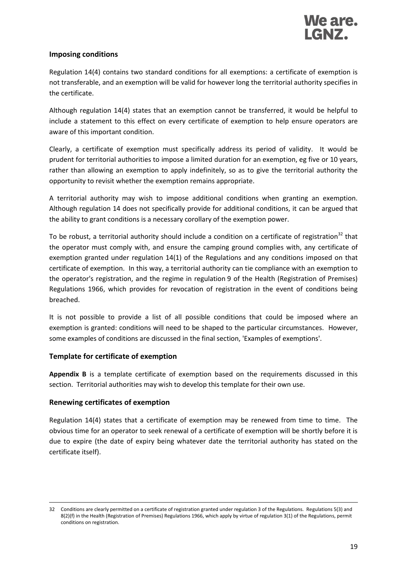#### <span id="page-18-0"></span>**Imposing conditions**

Regulation 14(4) contains two standard conditions for all exemptions: a certificate of exemption is not transferable, and an exemption will be valid for however long the territorial authority specifies in the certificate.

Although regulation 14(4) states that an exemption cannot be transferred, it would be helpful to include a statement to this effect on every certificate of exemption to help ensure operators are aware of this important condition.

Clearly, a certificate of exemption must specifically address its period of validity. It would be prudent for territorial authorities to impose a limited duration for an exemption, eg five or 10 years, rather than allowing an exemption to apply indefinitely, so as to give the territorial authority the opportunity to revisit whether the exemption remains appropriate.

A territorial authority may wish to impose additional conditions when granting an exemption. Although regulation 14 does not specifically provide for additional conditions, it can be argued that the ability to grant conditions is a necessary corollary of the exemption power.

To be robust, a territorial authority should include a condition on a certificate of registration<sup>32</sup> that the operator must comply with, and ensure the camping ground complies with, any certificate of exemption granted under regulation 14(1) of the Regulations and any conditions imposed on that certificate of exemption. In this way, a territorial authority can tie compliance with an exemption to the operator's registration, and the regime in regulation 9 of the Health (Registration of Premises) Regulations 1966, which provides for revocation of registration in the event of conditions being breached.

It is not possible to provide a list of all possible conditions that could be imposed where an exemption is granted: conditions will need to be shaped to the particular circumstances. However, some examples of conditions are discussed in the final section, 'Examples of exemptions'.

#### <span id="page-18-1"></span>**Template for certificate of exemption**

**Appendix B** is a template certificate of exemption based on the requirements discussed in this section. Territorial authorities may wish to develop this template for their own use.

#### <span id="page-18-2"></span>**Renewing certificates of exemption**

-

Regulation 14(4) states that a certificate of exemption may be renewed from time to time. The obvious time for an operator to seek renewal of a certificate of exemption will be shortly before it is due to expire (the date of expiry being whatever date the territorial authority has stated on the certificate itself).

<sup>32</sup> Conditions are clearly permitted on a certificate of registration granted under regulation 3 of the Regulations. Regulations 5(3) and 8(2)(f) in the Health (Registration of Premises) Regulations 1966, which apply by virtue of regulation 3(1) of the Regulations, permit conditions on registration.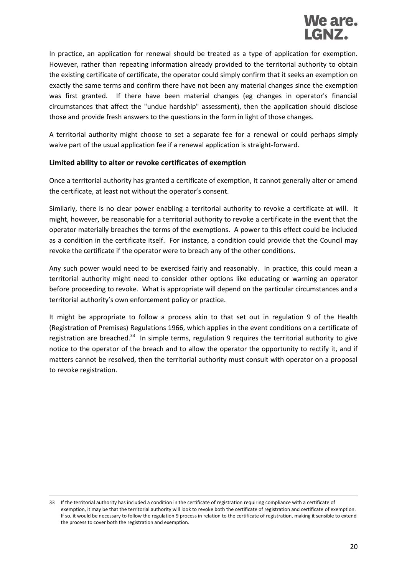In practice, an application for renewal should be treated as a type of application for exemption. However, rather than repeating information already provided to the territorial authority to obtain the existing certificate of certificate, the operator could simply confirm that it seeks an exemption on exactly the same terms and confirm there have not been any material changes since the exemption was first granted. If there have been material changes (eg changes in operator's financial circumstances that affect the "undue hardship" assessment), then the application should disclose those and provide fresh answers to the questions in the form in light of those changes.

A territorial authority might choose to set a separate fee for a renewal or could perhaps simply waive part of the usual application fee if a renewal application is straight-forward.

#### <span id="page-19-0"></span>**Limited ability to alter or revoke certificates of exemption**

Once a territorial authority has granted a certificate of exemption, it cannot generally alter or amend the certificate, at least not without the operator's consent.

Similarly, there is no clear power enabling a territorial authority to revoke a certificate at will. It might, however, be reasonable for a territorial authority to revoke a certificate in the event that the operator materially breaches the terms of the exemptions. A power to this effect could be included as a condition in the certificate itself. For instance, a condition could provide that the Council may revoke the certificate if the operator were to breach any of the other conditions.

Any such power would need to be exercised fairly and reasonably. In practice, this could mean a territorial authority might need to consider other options like educating or warning an operator before proceeding to revoke. What is appropriate will depend on the particular circumstances and a territorial authority's own enforcement policy or practice.

It might be appropriate to follow a process akin to that set out in regulation 9 of the Health (Registration of Premises) Regulations 1966, which applies in the event conditions on a certificate of registration are breached.<sup>33</sup> In simple terms, regulation 9 requires the territorial authority to give notice to the operator of the breach and to allow the operator the opportunity to rectify it, and if matters cannot be resolved, then the territorial authority must consult with operator on a proposal to revoke registration.

<sup>-</sup>33 If the territorial authority has included a condition in the certificate of registration requiring compliance with a certificate of exemption, it may be that the territorial authority will look to revoke both the certificate of registration and certificate of exemption. If so, it would be necessary to follow the regulation 9 process in relation to the certificate of registration, making it sensible to extend the process to cover both the registration and exemption.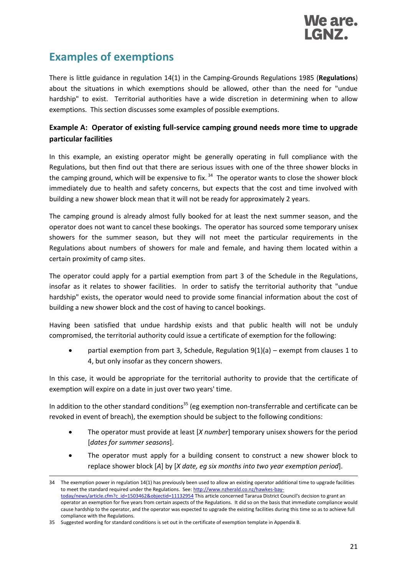

## <span id="page-20-0"></span>**Examples of exemptions**

There is little guidance in regulation 14(1) in the Camping-Grounds Regulations 1985 (**Regulations**) about the situations in which exemptions should be allowed, other than the need for "undue hardship" to exist. Territorial authorities have a wide discretion in determining when to allow exemptions. This section discusses some examples of possible exemptions.

#### <span id="page-20-1"></span>**Example A: Operator of existing full-service camping ground needs more time to upgrade particular facilities**

In this example, an existing operator might be generally operating in full compliance with the Regulations, but then find out that there are serious issues with one of the three shower blocks in the camping ground, which will be expensive to fix.<sup>34</sup> The operator wants to close the shower block immediately due to health and safety concerns, but expects that the cost and time involved with building a new shower block mean that it will not be ready for approximately 2 years.

The camping ground is already almost fully booked for at least the next summer season, and the operator does not want to cancel these bookings. The operator has sourced some temporary unisex showers for the summer season, but they will not meet the particular requirements in the Regulations about numbers of showers for male and female, and having them located within a certain proximity of camp sites.

The operator could apply for a partial exemption from part 3 of the Schedule in the Regulations, insofar as it relates to shower facilities. In order to satisfy the territorial authority that "undue hardship" exists, the operator would need to provide some financial information about the cost of building a new shower block and the cost of having to cancel bookings.

Having been satisfied that undue hardship exists and that public health will not be unduly compromised, the territorial authority could issue a certificate of exemption for the following:

partial exemption from part 3, Schedule, Regulation  $9(1)(a)$  – exempt from clauses 1 to 4, but only insofar as they concern showers.

In this case, it would be appropriate for the territorial authority to provide that the certificate of exemption will expire on a date in just over two years' time.

In addition to the other standard conditions<sup>35</sup> (eg exemption non-transferrable and certificate can be revoked in event of breach), the exemption should be subject to the following conditions:

- The operator must provide at least [*X number*] temporary unisex showers for the period [*dates for summer seasons*].
- The operator must apply for a building consent to construct a new shower block to replace shower block [*A*] by [*X date, eg six months into two year exemption period*].

-

<sup>34</sup> The exemption power in regulation 14(1) has previously been used to allow an existing operator additional time to upgrade facilities to meet the standard required under the Regulations. See[: http://www.nzherald.co.nz/hawkes-bay](http://www.nzherald.co.nz/hawkes-bay-today/news/article.cfm?c_id=1503462&objectid=11132954)[today/news/article.cfm?c\\_id=1503462&objectid=11132954](http://www.nzherald.co.nz/hawkes-bay-today/news/article.cfm?c_id=1503462&objectid=11132954) This article concerned Tararua District Council's decision to grant an operator an exemption for five years from certain aspects of the Regulations. It did so on the basis that immediate compliance would cause hardship to the operator, and the operator was expected to upgrade the existing facilities during this time so as to achieve full compliance with the Regulations.

<sup>35</sup> Suggested wording for standard conditions is set out in the certificate of exemption template in Appendix B.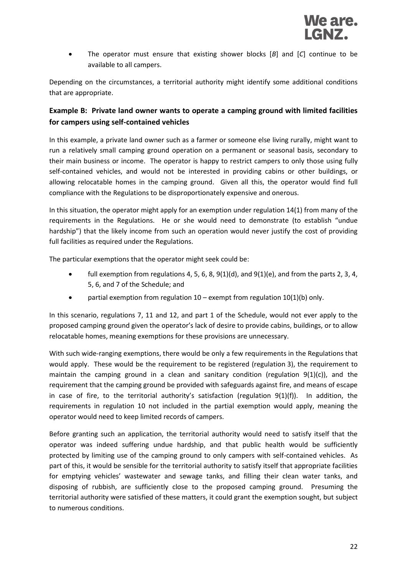The operator must ensure that existing shower blocks [*B*] and [*C*] continue to be available to all campers.

Depending on the circumstances, a territorial authority might identify some additional conditions that are appropriate.

#### <span id="page-21-0"></span>**Example B: Private land owner wants to operate a camping ground with limited facilities for campers using self-contained vehicles**

In this example, a private land owner such as a farmer or someone else living rurally, might want to run a relatively small camping ground operation on a permanent or seasonal basis, secondary to their main business or income. The operator is happy to restrict campers to only those using fully self-contained vehicles, and would not be interested in providing cabins or other buildings, or allowing relocatable homes in the camping ground. Given all this, the operator would find full compliance with the Regulations to be disproportionately expensive and onerous.

In this situation, the operator might apply for an exemption under regulation 14(1) from many of the requirements in the Regulations. He or she would need to demonstrate (to establish "undue hardship") that the likely income from such an operation would never justify the cost of providing full facilities as required under the Regulations.

The particular exemptions that the operator might seek could be:

- full exemption from regulations 4, 5, 6, 8,  $9(1)(d)$ , and  $9(1)(e)$ , and from the parts 2, 3, 4, 5, 6, and 7 of the Schedule; and
- **•** partial exemption from regulation  $10 -$  exempt from regulation  $10(1)(b)$  only.

In this scenario, regulations 7, 11 and 12, and part 1 of the Schedule, would not ever apply to the proposed camping ground given the operator's lack of desire to provide cabins, buildings, or to allow relocatable homes, meaning exemptions for these provisions are unnecessary.

With such wide-ranging exemptions, there would be only a few requirements in the Regulations that would apply. These would be the requirement to be registered (regulation 3), the requirement to maintain the camping ground in a clean and sanitary condition (regulation  $9(1)(c)$ ), and the requirement that the camping ground be provided with safeguards against fire, and means of escape in case of fire, to the territorial authority's satisfaction (regulation 9(1)(f)). In addition, the requirements in regulation 10 not included in the partial exemption would apply, meaning the operator would need to keep limited records of campers.

Before granting such an application, the territorial authority would need to satisfy itself that the operator was indeed suffering undue hardship, and that public health would be sufficiently protected by limiting use of the camping ground to only campers with self-contained vehicles. As part of this, it would be sensible for the territorial authority to satisfy itself that appropriate facilities for emptying vehicles' wastewater and sewage tanks, and filling their clean water tanks, and disposing of rubbish, are sufficiently close to the proposed camping ground. Presuming the territorial authority were satisfied of these matters, it could grant the exemption sought, but subject to numerous conditions.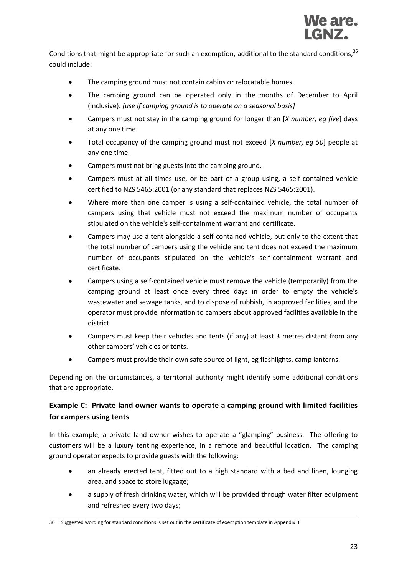Conditions that might be appropriate for such an exemption, additional to the standard conditions,  $36$ could include:

- The camping ground must not contain cabins or relocatable homes.
- The camping ground can be operated only in the months of December to April (inclusive). *[use if camping ground is to operate on a seasonal basis]*
- Campers must not stay in the camping ground for longer than [*X number, eg five*] days at any one time.
- Total occupancy of the camping ground must not exceed [*X number, eg 50*] people at any one time.
- Campers must not bring guests into the camping ground.
- Campers must at all times use, or be part of a group using, a self-contained vehicle certified to NZS 5465:2001 (or any standard that replaces NZS 5465:2001).
- Where more than one camper is using a self-contained vehicle, the total number of campers using that vehicle must not exceed the maximum number of occupants stipulated on the vehicle's self-containment warrant and certificate.
- Campers may use a tent alongside a self-contained vehicle, but only to the extent that the total number of campers using the vehicle and tent does not exceed the maximum number of occupants stipulated on the vehicle's self-containment warrant and certificate.
- Campers using a self-contained vehicle must remove the vehicle (temporarily) from the camping ground at least once every three days in order to empty the vehicle's wastewater and sewage tanks, and to dispose of rubbish, in approved facilities, and the operator must provide information to campers about approved facilities available in the district.
- Campers must keep their vehicles and tents (if any) at least 3 metres distant from any other campers' vehicles or tents.
- Campers must provide their own safe source of light, eg flashlights, camp lanterns.

Depending on the circumstances, a territorial authority might identify some additional conditions that are appropriate.

#### <span id="page-22-0"></span>**Example C: Private land owner wants to operate a camping ground with limited facilities for campers using tents**

In this example, a private land owner wishes to operate a "glamping" business. The offering to customers will be a luxury tenting experience, in a remote and beautiful location. The camping ground operator expects to provide guests with the following:

- an already erected tent, fitted out to a high standard with a bed and linen, lounging area, and space to store luggage;
- a supply of fresh drinking water, which will be provided through water filter equipment and refreshed every two days;

<sup>-</sup>36 Suggested wording for standard conditions is set out in the certificate of exemption template in Appendix B.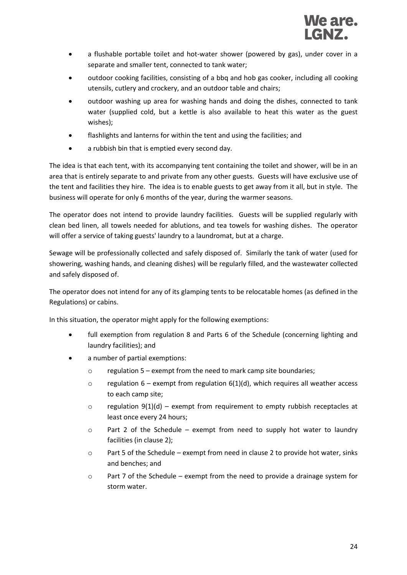- a flushable portable toilet and hot-water shower (powered by gas), under cover in a separate and smaller tent, connected to tank water;
- outdoor cooking facilities, consisting of a bbq and hob gas cooker, including all cooking utensils, cutlery and crockery, and an outdoor table and chairs;
- outdoor washing up area for washing hands and doing the dishes, connected to tank water (supplied cold, but a kettle is also available to heat this water as the guest wishes);
- flashlights and lanterns for within the tent and using the facilities; and
- a rubbish bin that is emptied every second day.

The idea is that each tent, with its accompanying tent containing the toilet and shower, will be in an area that is entirely separate to and private from any other guests. Guests will have exclusive use of the tent and facilities they hire. The idea is to enable guests to get away from it all, but in style. The business will operate for only 6 months of the year, during the warmer seasons.

The operator does not intend to provide laundry facilities. Guests will be supplied regularly with clean bed linen, all towels needed for ablutions, and tea towels for washing dishes. The operator will offer a service of taking guests' laundry to a laundromat, but at a charge.

Sewage will be professionally collected and safely disposed of. Similarly the tank of water (used for showering, washing hands, and cleaning dishes) will be regularly filled, and the wastewater collected and safely disposed of.

The operator does not intend for any of its glamping tents to be relocatable homes (as defined in the Regulations) or cabins.

In this situation, the operator might apply for the following exemptions:

- full exemption from regulation 8 and Parts 6 of the Schedule (concerning lighting and laundry facilities); and
- a number of partial exemptions:
	- o regulation 5 exempt from the need to mark camp site boundaries;
	- $\circ$  regulation 6 exempt from regulation 6(1)(d), which requires all weather access to each camp site;
	- $\circ$  regulation 9(1)(d) exempt from requirement to empty rubbish receptacles at least once every 24 hours;
	- $\circ$  Part 2 of the Schedule exempt from need to supply hot water to laundry facilities (in clause 2);
	- $\circ$  Part 5 of the Schedule exempt from need in clause 2 to provide hot water, sinks and benches; and
	- $\circ$  Part 7 of the Schedule exempt from the need to provide a drainage system for storm water.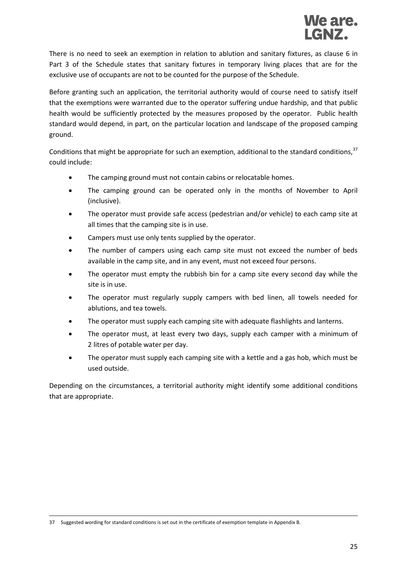There is no need to seek an exemption in relation to ablution and sanitary fixtures, as clause 6 in Part 3 of the Schedule states that sanitary fixtures in temporary living places that are for the exclusive use of occupants are not to be counted for the purpose of the Schedule.

Before granting such an application, the territorial authority would of course need to satisfy itself that the exemptions were warranted due to the operator suffering undue hardship, and that public health would be sufficiently protected by the measures proposed by the operator. Public health standard would depend, in part, on the particular location and landscape of the proposed camping ground.

Conditions that might be appropriate for such an exemption, additional to the standard conditions,  $37$ could include:

- The camping ground must not contain cabins or relocatable homes.
- The camping ground can be operated only in the months of November to April (inclusive).
- The operator must provide safe access (pedestrian and/or vehicle) to each camp site at all times that the camping site is in use.
- Campers must use only tents supplied by the operator.
- The number of campers using each camp site must not exceed the number of beds available in the camp site, and in any event, must not exceed four persons.
- The operator must empty the rubbish bin for a camp site every second day while the site is in use.
- The operator must regularly supply campers with bed linen, all towels needed for ablutions, and tea towels.
- The operator must supply each camping site with adequate flashlights and lanterns.
- The operator must, at least every two days, supply each camper with a minimum of 2 litres of potable water per day.
- The operator must supply each camping site with a kettle and a gas hob, which must be used outside.

Depending on the circumstances, a territorial authority might identify some additional conditions that are appropriate.

<sup>-</sup>37 Suggested wording for standard conditions is set out in the certificate of exemption template in Appendix B.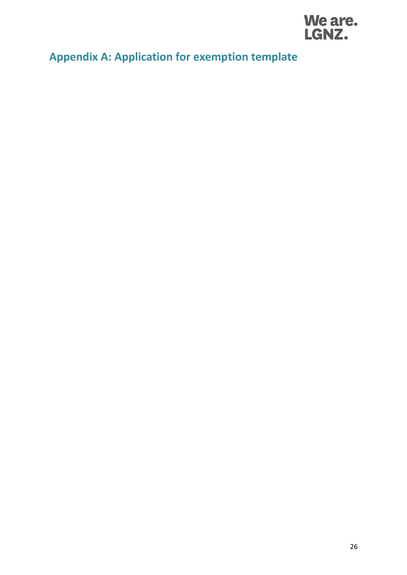

## <span id="page-25-0"></span>**Appendix A: Application for exemption template**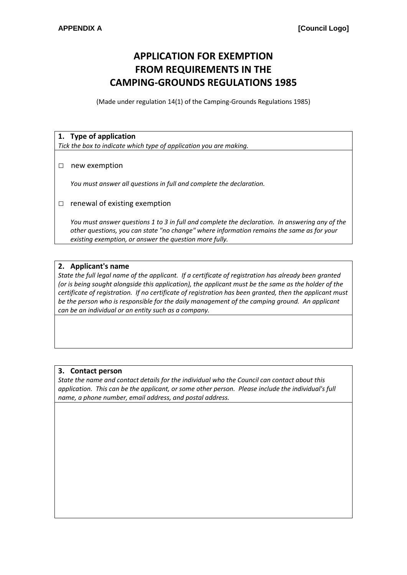### **APPLICATION FOR EXEMPTION FROM REQUIREMENTS IN THE CAMPING-GROUNDS REGULATIONS 1985**

(Made under regulation 14(1) of the Camping-Grounds Regulations 1985)

#### **1. Type of application**

*Tick the box to indicate which type of application you are making.*

#### □ new exemption

*You must answer all questions in full and complete the declaration.*

 $\Box$  renewal of existing exemption

*You must answer questions 1 to 3 in full and complete the declaration. In answering any of the other questions, you can state "no change" where information remains the same as for your existing exemption, or answer the question more fully.*

#### **2. Applicant's name**

*State the full legal name of the applicant. If a certificate of registration has already been granted (or is being sought alongside this application), the applicant must be the same as the holder of the certificate of registration. If no certificate of registration has been granted, then the applicant must*  be the person who is responsible for the daily management of the camping ground. An applicant *can be an individual or an entity such as a company.*

#### **3. Contact person**

*State the name and contact details for the individual who the Council can contact about this application. This can be the applicant, or some other person. Please include the individual's full name, a phone number, email address, and postal address.*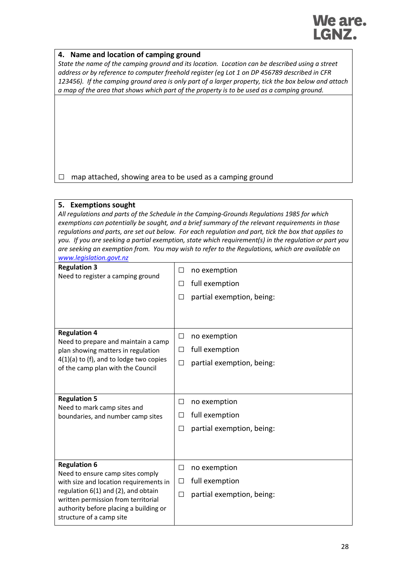## We are. LGNZ.

#### **4. Name and location of camping ground**

*State the name of the camping ground and its location. Location can be described using a street address or by reference to computer freehold register (eg Lot 1 on DP 456789 described in CFR 123456). If the camping ground area is only part of a larger property, tick the box below and attach a map of the area that shows which part of the property is to be used as a camping ground.*

 $\Box$  map attached, showing area to be used as a camping ground

#### **5. Exemptions sought**

| All regulations and parts of the Schedule in the Camping-Grounds Regulations 1985 for which           |
|-------------------------------------------------------------------------------------------------------|
| exemptions can potentially be sought, and a brief summary of the relevant requirements in those       |
| regulations and parts, are set out below. For each regulation and part, tick the box that applies to  |
| you. If you are seeking a partial exemption, state which requirement(s) in the requlation or part you |
| are seeking an exemption from. You may wish to refer to the Regulations, which are available on       |
| www.legislation.govt.nz                                                                               |

| <b>Regulation 3</b><br>Need to register a camping ground                                                                                 | $\Box$ | no exemption              |
|------------------------------------------------------------------------------------------------------------------------------------------|--------|---------------------------|
|                                                                                                                                          | □      | full exemption            |
|                                                                                                                                          | □      | partial exemption, being: |
|                                                                                                                                          |        |                           |
|                                                                                                                                          |        |                           |
| <b>Regulation 4</b>                                                                                                                      | □      | no exemption              |
| Need to prepare and maintain a camp<br>plan showing matters in regulation                                                                | □      | full exemption            |
| $4(1)(a)$ to (f), and to lodge two copies                                                                                                | $\Box$ | partial exemption, being: |
| of the camp plan with the Council                                                                                                        |        |                           |
|                                                                                                                                          |        |                           |
| <b>Regulation 5</b><br>Need to mark camp sites and<br>boundaries, and number camp sites                                                  | □      | no exemption              |
|                                                                                                                                          | $\Box$ | full exemption            |
|                                                                                                                                          | □      | partial exemption, being: |
|                                                                                                                                          |        |                           |
|                                                                                                                                          |        |                           |
| <b>Regulation 6</b><br>Need to ensure camp sites comply<br>with size and location requirements in<br>regulation 6(1) and (2), and obtain | □      | no exemption              |
|                                                                                                                                          | □      | full exemption            |
|                                                                                                                                          | $\Box$ | partial exemption, being: |
| written permission from territorial<br>authority before placing a building or                                                            |        |                           |
| structure of a camp site                                                                                                                 |        |                           |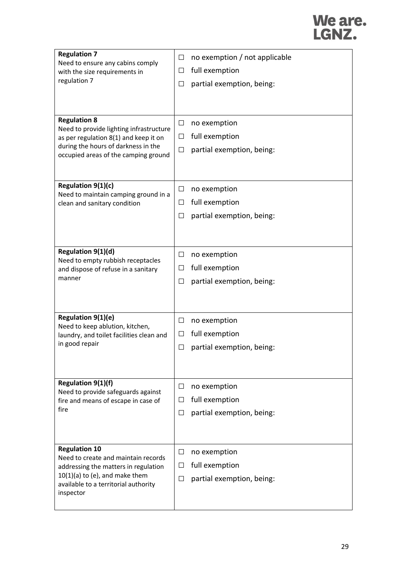# We are.<br>LGNZ.

| <b>Regulation 7</b><br>Need to ensure any cabins comply<br>with the size requirements in<br>regulation 7                                                                        | ப      | no exemption / not applicable |
|---------------------------------------------------------------------------------------------------------------------------------------------------------------------------------|--------|-------------------------------|
|                                                                                                                                                                                 | ⊔      | full exemption                |
|                                                                                                                                                                                 | П      | partial exemption, being:     |
|                                                                                                                                                                                 |        |                               |
|                                                                                                                                                                                 |        |                               |
| <b>Regulation 8</b>                                                                                                                                                             | □      | no exemption                  |
| Need to provide lighting infrastructure                                                                                                                                         | $\Box$ | full exemption                |
| as per regulation 8(1) and keep it on<br>during the hours of darkness in the                                                                                                    |        |                               |
| occupied areas of the camping ground                                                                                                                                            | □      | partial exemption, being:     |
|                                                                                                                                                                                 |        |                               |
| Regulation 9(1)(c)                                                                                                                                                              | $\Box$ | no exemption                  |
| Need to maintain camping ground in a                                                                                                                                            |        |                               |
| clean and sanitary condition                                                                                                                                                    | $\Box$ | full exemption                |
|                                                                                                                                                                                 | □      | partial exemption, being:     |
|                                                                                                                                                                                 |        |                               |
| Regulation 9(1)(d)                                                                                                                                                              | □      | no exemption                  |
| Need to empty rubbish receptacles                                                                                                                                               |        |                               |
| and dispose of refuse in a sanitary<br>manner                                                                                                                                   | ப      | full exemption                |
|                                                                                                                                                                                 | ப      | partial exemption, being:     |
|                                                                                                                                                                                 |        |                               |
| Regulation 9(1)(e)                                                                                                                                                              | □      | no exemption                  |
| Need to keep ablution, kitchen,<br>laundry, and toilet facilities clean and                                                                                                     | ப      | full exemption                |
| in good repair                                                                                                                                                                  | ⊔      | partial exemption, being:     |
|                                                                                                                                                                                 |        |                               |
|                                                                                                                                                                                 |        |                               |
| <b>Regulation 9(1)(f)</b>                                                                                                                                                       | □      | no exemption                  |
| Need to provide safeguards against<br>fire and means of escape in case of                                                                                                       | П      | full exemption                |
| fire                                                                                                                                                                            | $\Box$ | partial exemption, being:     |
|                                                                                                                                                                                 |        |                               |
|                                                                                                                                                                                 |        |                               |
| <b>Regulation 10</b><br>Need to create and maintain records<br>addressing the matters in regulation<br>$10(1)(a)$ to (e), and make them<br>available to a territorial authority | $\Box$ | no exemption                  |
|                                                                                                                                                                                 | $\Box$ | full exemption                |
|                                                                                                                                                                                 | $\Box$ | partial exemption, being:     |
| inspector                                                                                                                                                                       |        |                               |
|                                                                                                                                                                                 |        |                               |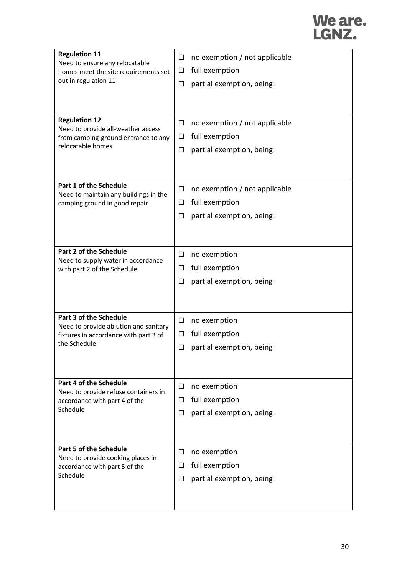# We are.<br>LGNZ.

| <b>Regulation 11</b><br>Need to ensure any relocatable<br>homes meet the site requirements set<br>out in regulation 11<br><b>Regulation 12</b><br>Need to provide all-weather access<br>from camping-ground entrance to any<br>relocatable homes | □<br>□<br>□<br>$\Box$<br>$\Box$<br>$\Box$ | no exemption / not applicable<br>full exemption<br>partial exemption, being:<br>no exemption / not applicable<br>full exemption<br>partial exemption, being: |
|--------------------------------------------------------------------------------------------------------------------------------------------------------------------------------------------------------------------------------------------------|-------------------------------------------|--------------------------------------------------------------------------------------------------------------------------------------------------------------|
| Part 1 of the Schedule<br>Need to maintain any buildings in the<br>camping ground in good repair                                                                                                                                                 | □<br>ப<br>ப                               | no exemption / not applicable<br>full exemption<br>partial exemption, being:                                                                                 |
| <b>Part 2 of the Schedule</b><br>Need to supply water in accordance<br>with part 2 of the Schedule                                                                                                                                               | □<br>□<br>Ш                               | no exemption<br>full exemption<br>partial exemption, being:                                                                                                  |
| <b>Part 3 of the Schedule</b><br>Need to provide ablution and sanitary<br>fixtures in accordance with part 3 of<br>the Schedule                                                                                                                  | $\Box$<br>□<br>ப                          | no exemption<br>full exemption<br>partial exemption, being:                                                                                                  |
| Part 4 of the Schedule<br>Need to provide refuse containers in<br>accordance with part 4 of the<br>Schedule                                                                                                                                      | $\Box$<br>$\Box$<br>Ш                     | no exemption<br>full exemption<br>partial exemption, being:                                                                                                  |
| <b>Part 5 of the Schedule</b><br>Need to provide cooking places in<br>accordance with part 5 of the<br>Schedule                                                                                                                                  | Ш<br>$\perp$<br>Ш                         | no exemption<br>full exemption<br>partial exemption, being:                                                                                                  |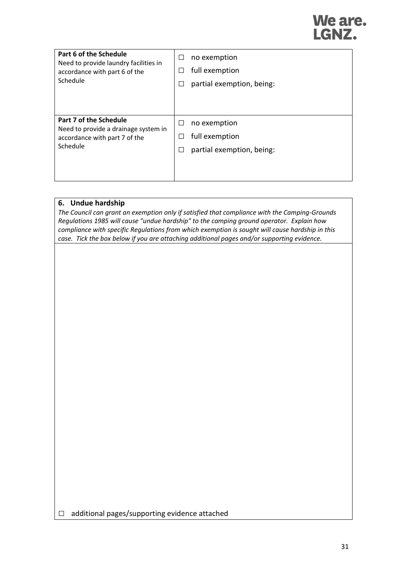## We are. LGNZ.

| Part 6 of the Schedule<br>Need to provide laundry facilities in<br>accordance with part 6 of the<br>Schedule | Ш            | no exemption<br>full exemption<br>partial exemption, being: |
|--------------------------------------------------------------------------------------------------------------|--------------|-------------------------------------------------------------|
| Part 7 of the Schedule<br>Need to provide a drainage system in<br>accordance with part 7 of the<br>Schedule  | Ш<br>ΙI<br>Ш | no exemption<br>full exemption<br>partial exemption, being: |

#### **6. Undue hardship**

*The Council can grant an exemption only if satisfied that compliance with the Camping-Grounds Regulations 1985 will cause "undue hardship" to the camping ground operator. Explain how compliance with specific Regulations from which exemption is sought will cause hardship in this case. Tick the box below if you are attaching additional pages and/or supporting evidence.*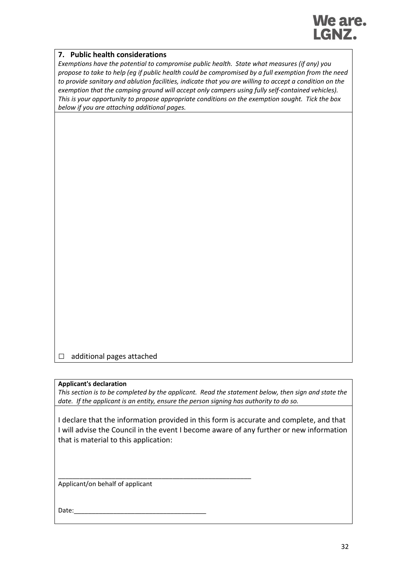

#### **7. Public health considerations**

*Exemptions have the potential to compromise public health. State what measures (if any) you propose to take to help (eg if public health could be compromised by a full exemption from the need to provide sanitary and ablution facilities, indicate that you are willing to accept a condition on the exemption that the camping ground will accept only campers using fully self-contained vehicles). This is your opportunity to propose appropriate conditions on the exemption sought. Tick the box below if you are attaching additional pages.*

□ additional pages attached

#### **Applicant's declaration**

*This section is to be completed by the applicant. Read the statement below, then sign and state the date. If the applicant is an entity, ensure the person signing has authority to do so.*

I declare that the information provided in this form is accurate and complete, and that I will advise the Council in the event I become aware of any further or new information that is material to this application:

Applicant/on behalf of applicant

\_\_\_\_\_\_\_\_\_\_\_\_\_\_\_\_\_\_\_\_\_\_\_\_\_\_\_\_\_\_\_\_\_\_\_\_\_\_\_\_\_\_\_\_\_\_\_\_\_\_\_\_\_\_

Date: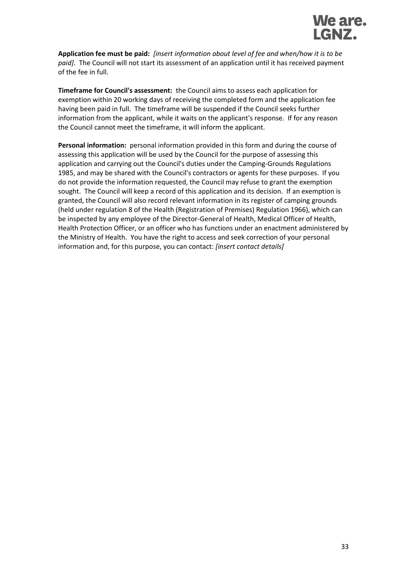

**Application fee must be paid:** *[insert information about level of fee and when/how it is to be paid]*. The Council will not start its assessment of an application until it has received payment of the fee in full.

**Timeframe for Council's assessment:** the Council aims to assess each application for exemption within 20 working days of receiving the completed form and the application fee having been paid in full. The timeframe will be suspended if the Council seeks further information from the applicant, while it waits on the applicant's response. If for any reason the Council cannot meet the timeframe, it will inform the applicant.

**Personal information:** personal information provided in this form and during the course of assessing this application will be used by the Council for the purpose of assessing this application and carrying out the Council's duties under the Camping-Grounds Regulations 1985, and may be shared with the Council's contractors or agents for these purposes. If you do not provide the information requested, the Council may refuse to grant the exemption sought. The Council will keep a record of this application and its decision. If an exemption is granted, the Council will also record relevant information in its register of camping grounds (held under regulation 8 of the Health (Registration of Premises) Regulation 1966), which can be inspected by any employee of the Director-General of Health, Medical Officer of Health, Health Protection Officer, or an officer who has functions under an enactment administered by the Ministry of Health. You have the right to access and seek correction of your personal information and, for this purpose, you can contact: *[insert contact details]*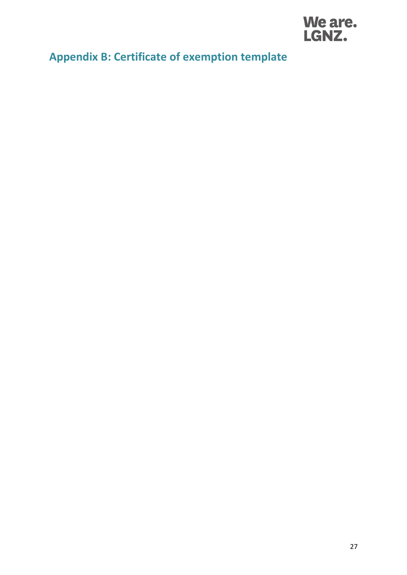

## <span id="page-33-0"></span>**Appendix B: Certificate of exemption template**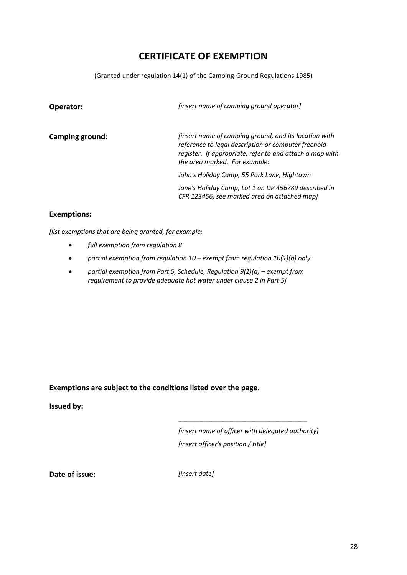### **CERTIFICATE OF EXEMPTION**

(Granted under regulation 14(1) of the Camping-Ground Regulations 1985)

| Operator:       | [insert name of camping ground operator]                                                                                                                                                                  |
|-----------------|-----------------------------------------------------------------------------------------------------------------------------------------------------------------------------------------------------------|
| Camping ground: | [insert name of camping ground, and its location with<br>reference to legal description or computer freehold<br>register. If appropriate, refer to and attach a map with<br>the area marked. For example: |
|                 | John's Holiday Camp, 55 Park Lane, Hightown                                                                                                                                                               |
|                 | Jane's Holiday Camp, Lot 1 on DP 456789 described in<br>CFR 123456, see marked area on attached map]                                                                                                      |

#### **Exemptions:**

*[list exemptions that are being granted, for example:*

- *full exemption from regulation 8*
- *partial exemption from regulation 10 – exempt from regulation 10(1)(b) only*
- *partial exemption from Part 5, Schedule, Regulation 9(1)(a) – exempt from requirement to provide adequate hot water under clause 2 in Part 5]*

**Exemptions are subject to the conditions listed over the page.**

#### **Issued by:**

*[insert name of officer with delegated authority] [insert officer's position / title]*

\_\_\_\_\_\_\_\_\_\_\_\_\_\_\_\_\_\_\_\_\_\_\_\_\_\_\_\_\_\_\_\_\_\_\_\_

**Date of issue:** *[insert date]*